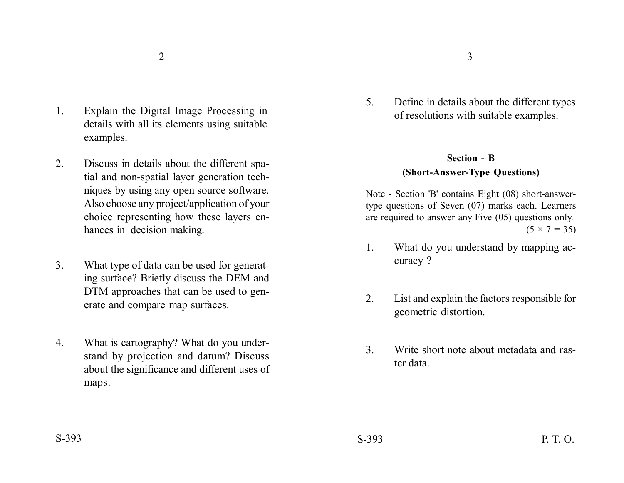- 1. Explain the Digital Image Processing in details with all its elements using suitable examples.
- 2. Discuss in details about the different spatial and non-spatial layer generation techniques by using any open source software. Also choose any project/application of your choice representing how these layers enhances in decision making.
- 3. What type of data can be used for generating surface? Briefly discuss the DEM and DTM approaches that can be used to generate and compare map surfaces.
- 4. What is cartography? What do you understand by projection and datum? Discuss about the significance and different uses of maps.

5. Define in details about the different types of resolutions with suitable examples.

# **Section - B**

## **(Short-Answer-Type Questions)**

Note - Section 'B' contains Eight (08) short-answertype questions of Seven (07) marks each. Learners are required to answer any Five (05) questions only.  $(5 \times 7 = 35)$ 

- 1. What do you understand by mapping accuracy ?
- 2. List and explain the factors responsible for geometric distortion.
- 3. Write short note about metadata and raster data.